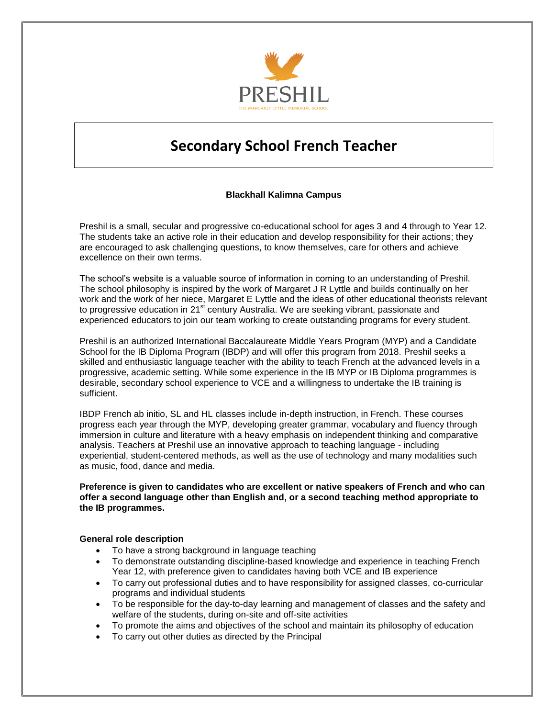

# **Secondary School French Teacher**

# **Blackhall Kalimna Campus**

Preshil is a small, secular and progressive co-educational school for ages 3 and 4 through to Year 12. The students take an active role in their education and develop responsibility for their actions; they are encouraged to ask challenging questions, to know themselves, care for others and achieve excellence on their own terms.

The school's website is a valuable source of information in coming to an understanding of Preshil. The school philosophy is inspired by the work of Margaret J R Lyttle and builds continually on her work and the work of her niece, Margaret E Lyttle and the ideas of other educational theorists relevant to progressive education in 21<sup>st</sup> century Australia. We are seeking vibrant, passionate and experienced educators to join our team working to create outstanding programs for every student.

Preshil is an authorized International Baccalaureate Middle Years Program (MYP) and a Candidate School for the IB Diploma Program (IBDP) and will offer this program from 2018. Preshil seeks a skilled and enthusiastic language teacher with the ability to teach French at the advanced levels in a progressive, academic setting. While some experience in the IB MYP or IB Diploma programmes is desirable, secondary school experience to VCE and a willingness to undertake the IB training is sufficient.

IBDP French ab initio, SL and HL classes include in-depth instruction, in French. These courses progress each year through the MYP, developing greater grammar, vocabulary and fluency through immersion in culture and literature with a heavy emphasis on independent thinking and comparative analysis. Teachers at Preshil use an innovative approach to teaching language - including experiential, student-centered methods, as well as the use of technology and many modalities such as music, food, dance and media.

#### **Preference is given to candidates who are excellent or native speakers of French and who can offer a second language other than English and, or a second teaching method appropriate to the IB programmes.**

#### **General role description**

- To have a strong background in language teaching
- To demonstrate outstanding discipline-based knowledge and experience in teaching French Year 12, with preference given to candidates having both VCE and IB experience
- To carry out professional duties and to have responsibility for assigned classes, co-curricular programs and individual students
- To be responsible for the day-to-day learning and management of classes and the safety and welfare of the students, during on-site and off-site activities
- To promote the aims and objectives of the school and maintain its philosophy of education
- To carry out other duties as directed by the Principal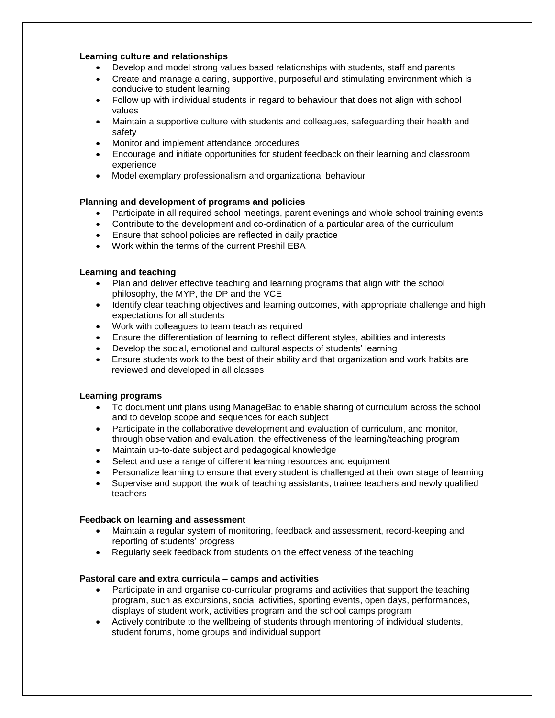## **Learning culture and relationships**

- Develop and model strong values based relationships with students, staff and parents
- Create and manage a caring, supportive, purposeful and stimulating environment which is conducive to student learning
- Follow up with individual students in regard to behaviour that does not align with school values
- Maintain a supportive culture with students and colleagues, safeguarding their health and safety
- Monitor and implement attendance procedures
- Encourage and initiate opportunities for student feedback on their learning and classroom experience
- Model exemplary professionalism and organizational behaviour

## **Planning and development of programs and policies**

- Participate in all required school meetings, parent evenings and whole school training events
- Contribute to the development and co-ordination of a particular area of the curriculum
- Ensure that school policies are reflected in daily practice
- Work within the terms of the current Preshil EBA

#### **Learning and teaching**

- Plan and deliver effective teaching and learning programs that align with the school philosophy, the MYP, the DP and the VCE
- Identify clear teaching objectives and learning outcomes, with appropriate challenge and high expectations for all students
- Work with colleagues to team teach as required
- Ensure the differentiation of learning to reflect different styles, abilities and interests
- Develop the social, emotional and cultural aspects of students' learning
- Ensure students work to the best of their ability and that organization and work habits are reviewed and developed in all classes

#### **Learning programs**

- To document unit plans using ManageBac to enable sharing of curriculum across the school and to develop scope and sequences for each subject
- Participate in the collaborative development and evaluation of curriculum, and monitor, through observation and evaluation, the effectiveness of the learning/teaching program
- Maintain up-to-date subject and pedagogical knowledge
- Select and use a range of different learning resources and equipment
- Personalize learning to ensure that every student is challenged at their own stage of learning
- Supervise and support the work of teaching assistants, trainee teachers and newly qualified teachers

#### **Feedback on learning and assessment**

- Maintain a regular system of monitoring, feedback and assessment, record-keeping and reporting of students' progress
- Regularly seek feedback from students on the effectiveness of the teaching

#### **Pastoral care and extra curricula – camps and activities**

- Participate in and organise co-curricular programs and activities that support the teaching program, such as excursions, social activities, sporting events, open days, performances, displays of student work, activities program and the school camps program
- Actively contribute to the wellbeing of students through mentoring of individual students, student forums, home groups and individual support